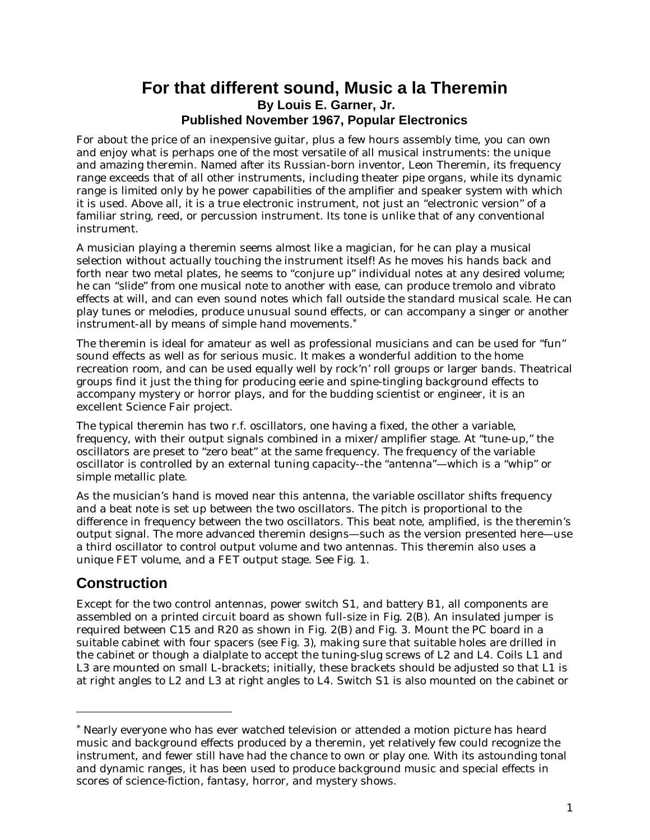#### **For that different sound, Music a la Theremin By Louis E. Garner, Jr. Published November 1967, Popular Electronics**

For about the price of an inexpensive guitar, plus a few hours assembly time, you can own and enjoy what is perhaps one of the most versatile of all musical instruments: the unique and amazing theremin. Named after its Russian-born inventor, Leon Theremin, its frequency range exceeds that of all other instruments, including theater pipe organs, while its dynamic range is limited only by he power capabilities of the amplifier and speaker system with which it is used. Above all, it is a true electronic instrument, not just an "electronic version" of a familiar string, reed, or percussion instrument. Its tone is unlike that of any conventional instrument.

A musician playing a theremin seems almost like a magician, for he can play a musical selection without actually touching the instrument itself! As he moves his hands back and forth near two metal plates, he seems to "conjure up" individual notes at any desired volume; he can "slide" from one musical note to another with ease, can produce tremolo and vibrato effects at will, and can even sound notes which fall outside the standard musical scale. He can play tunes or melodies, produce unusual sound effects, or can accompany a singer or another instrument-all by means of simple hand movements.<sup>\*</sup>

The theremin is ideal for amateur as well as professional musicians and can be used for "fun" sound effects as well as for serious music. It makes a wonderful addition to the home recreation room, and can be used equally well by rock'n' roll groups or larger bands. Theatrical groups find it just the thing for producing eerie and spine-tingling background effects to accompany mystery or horror plays, and for the budding scientist or engineer, it is an excellent Science Fair project.

The typical theremin has two r.f. oscillators, one having a fixed, the other a variable, frequency, with their output signals combined in a mixer/amplifier stage. At "tune-up," the oscillators are preset to "zero beat" at the same frequency. The frequency of the variable oscillator is controlled by an external tuning capacity--the "antenna"—which is a "whip" or simple metallic plate.

As the musician's hand is moved near this antenna, the variable oscillator shifts frequency and a beat note is set up between the two oscillators. The pitch is proportional to the difference in frequency between the two oscillators. This beat note, amplified, is the theremin's output signal. The more advanced theremin designs—such as the version presented here—use a third oscillator to control output volume and two antennas. This theremin also uses a unique FET volume, and a FET output stage. See Fig. 1.

## **Construction**

-

Except for the two control antennas, power switch S1, and battery B1, all components are assembled on a printed circuit board as shown full-size in Fig. 2(B). An insulated jumper is required between C15 and R20 as shown in Fig. 2(B) and Fig. 3. Mount the PC board in a suitable cabinet with four spacers (see Fig. 3), making sure that suitable holes are drilled in the cabinet or though a dialplate to accept the tuning-slug screws of L2 and L4. Coils L1 and L3 are mounted on small L-brackets; initially, these brackets should be adjusted so that L1 is at right angles to L2 and L3 at right angles to L4. Switch S1 is also mounted on the cabinet or

<sup>\*</sup> Nearly everyone who has ever watched television or attended a motion picture has heard music and background effects produced by a theremin, yet relatively few could recognize the instrument, and fewer still have had the chance to own or play one. With its astounding tonal and dynamic ranges, it has been used to produce background music and special effects in scores of science-fiction, fantasy, horror, and mystery shows.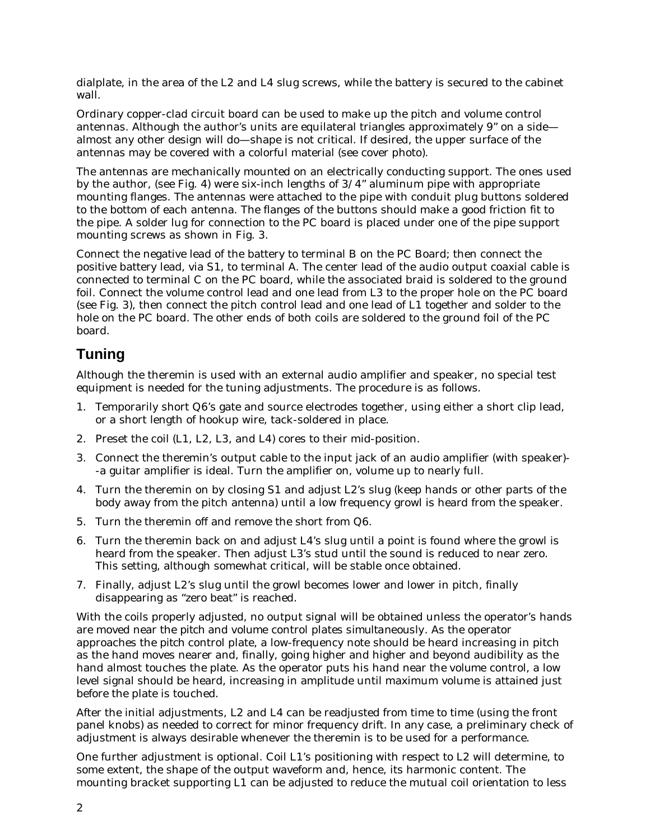dialplate, in the area of the L2 and L4 slug screws, while the battery is secured to the cabinet wall.

Ordinary copper-clad circuit board can be used to make up the pitch and volume control antennas. Although the author's units are equilateral triangles approximately 9" on a side almost any other design will do—shape is not critical. If desired, the upper surface of the antennas may be covered with a colorful material (see cover photo).

The antennas are mechanically mounted on an electrically conducting support. The ones used by the author, (see Fig. 4) were six-inch lengths of 3/4" aluminum pipe with appropriate mounting flanges. The antennas were attached to the pipe with conduit plug buttons soldered to the bottom of each antenna. The flanges of the buttons should make a good friction fit to the pipe. A solder lug for connection to the PC board is placed under one of the pipe support mounting screws as shown in Fig. 3.

Connect the negative lead of the battery to terminal B on the PC Board; then connect the positive battery lead, via S1, to terminal A. The center lead of the audio output coaxial cable is connected to terminal C on the PC board, while the associated braid is soldered to the ground foil. Connect the volume control lead and one lead from L3 to the proper hole on the PC board (see Fig. 3), then connect the pitch control lead and one lead of L1 together and solder to the hole on the PC board. The other ends of both coils are soldered to the ground foil of the PC board.

### **Tuning**

Although the theremin is used with an external audio amplifier and speaker, no special test equipment is needed for the tuning adjustments. The procedure is as follows.

- 1. Temporarily short Q6's gate and source electrodes together, using either a short clip lead, or a short length of hookup wire, tack-soldered in place.
- 2. Preset the coil (L1, L2, L3, and L4) cores to their mid-position.
- 3. Connect the theremin's output cable to the input jack of an audio amplifier (with speaker)- -a guitar amplifier is ideal. Turn the amplifier on, volume up to nearly full.
- 4. Turn the theremin on by closing S1 and adjust L2's slug (keep hands or other parts of the body away from the pitch antenna) until a low frequency growl is heard from the speaker.
- 5. Turn the theremin off and remove the short from Q6.
- 6. Turn the theremin back on and adjust L4's slug until a point is found where the growl is heard from the speaker. Then adjust L3's stud until the sound is reduced to near zero. This setting, although somewhat critical, will be stable once obtained.
- 7. Finally, adjust L2's slug until the growl becomes lower and lower in pitch, finally disappearing as "zero beat" is reached.

With the coils properly adjusted, no output signal will be obtained unless the operator's hands are moved near the *pitch* and *volume* control plates *simultaneously*. As the operator approaches the *pitch* control plate, a low-frequency note should be heard increasing in pitch as the hand moves nearer and, finally, going higher and higher and beyond audibility as the hand almost touches the plate. As the operator puts his hand near the *volume* control, a low level signal should be heard, increasing in amplitude until maximum volume is attained just before the plate is touched.

After the initial adjustments, L2 and L4 can be readjusted from time to time (using the front panel knobs) as needed to correct for minor frequency drift. In any case, a preliminary check of adjustment is always desirable whenever the theremin is to be used for a performance.

One further adjustment is optional. Coil L1's positioning with respect to L2 will determine, to some extent, the shape of the output waveform and, hence, its harmonic content. The mounting bracket supporting L1 can be adjusted to reduce the mutual coil orientation to less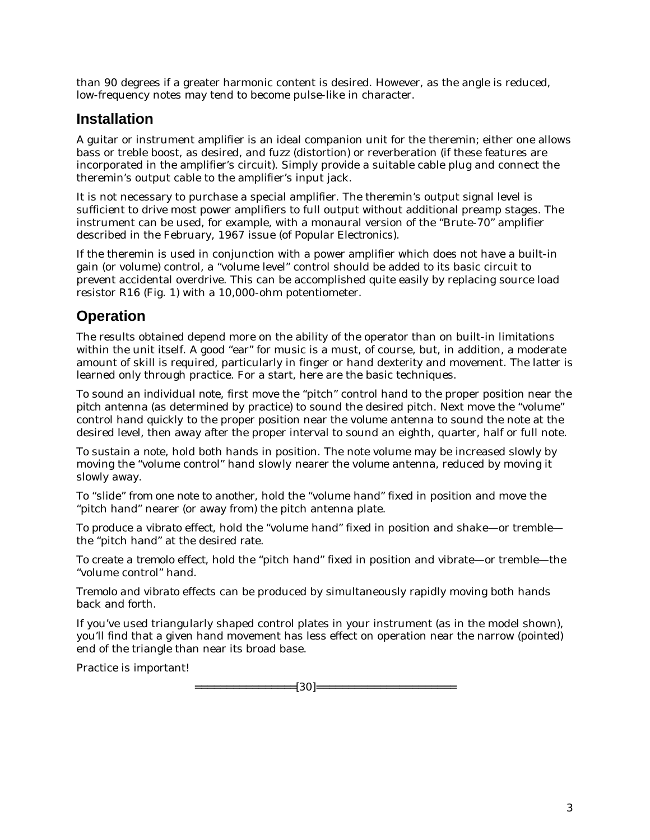than 90 degrees if a greater harmonic content is desired. However, as the angle is reduced, low-frequency notes may tend to become pulse-like in character.

### **Installation**

A guitar or instrument amplifier is an ideal companion unit for the theremin; either one allows bass or treble boost, as desired, and fuzz (distortion) or reverberation (if these features are incorporated in the amplifier's circuit). Simply provide a suitable cable plug and connect the theremin's output cable to the amplifier's input jack.

It is not necessary to purchase a special amplifier. The theremin's output signal level is sufficient to drive most power amplifiers to full output without additional preamp stages. The instrument can be used, for example, with a monaural version of the "Brute-70" amplifier described in the February, 1967 issue (of *Popular Electronics*).

If the theremin is used in conjunction with a power amplifier which does not have a built-in gain (or volume) control, a "volume level" control should be added to its basic circuit to prevent accidental overdrive. This can be accomplished quite easily by replacing source load resistor R16 (Fig. 1) with a 10,000-ohm potentiometer.

# **Operation**

The results obtained depend more on the ability of the operator than on built-in limitations within the unit itself. A good "ear" for music is a must, of course, but, in addition, a moderate amount of skill is required, particularly in finger or hand dexterity and movement. The latter is learned only through practice. For a start, here are the basic techniques.

*To sound an individual note*, first move the "pitch" control hand to the proper position near the *pitch* antenna (as determined by practice) to sound the desired pitch. Next move the "volume" control hand *quickly* to the proper position near the *volume* antenna to sound the note at the desired level, then away after the proper interval to sound an eighth, quarter, half or full note.

*To sustain a note*, hold both hands in position. The note volume may be increased slowly by moving the "volume control" hand *slowly* nearer the *volume* antenna, reduced by moving it slowly away.

*To "slide" from one note to another*, hold the "volume hand" fixed in position and move the "pitch hand" nearer (or away from) the pitch antenna plate.

*To produce a vibrato effect*, hold the "volume hand" fixed in position and shake—or tremble the "pitch hand" at the desired rate.

*To create a tremolo effect*, hold the "pitch hand" fixed in position and vibrate—or tremble—the "volume control" hand.

*Tremolo and vibrato effects* can be produced by simultaneously rapidly moving both hands back and forth.

If you've used triangularly shaped control plates in your instrument (as in the model shown), you'll find that a given hand movement has less effect on operation near the narrow (pointed) end of the triangle than near its broad base.

Practice is important!

================[30]======================